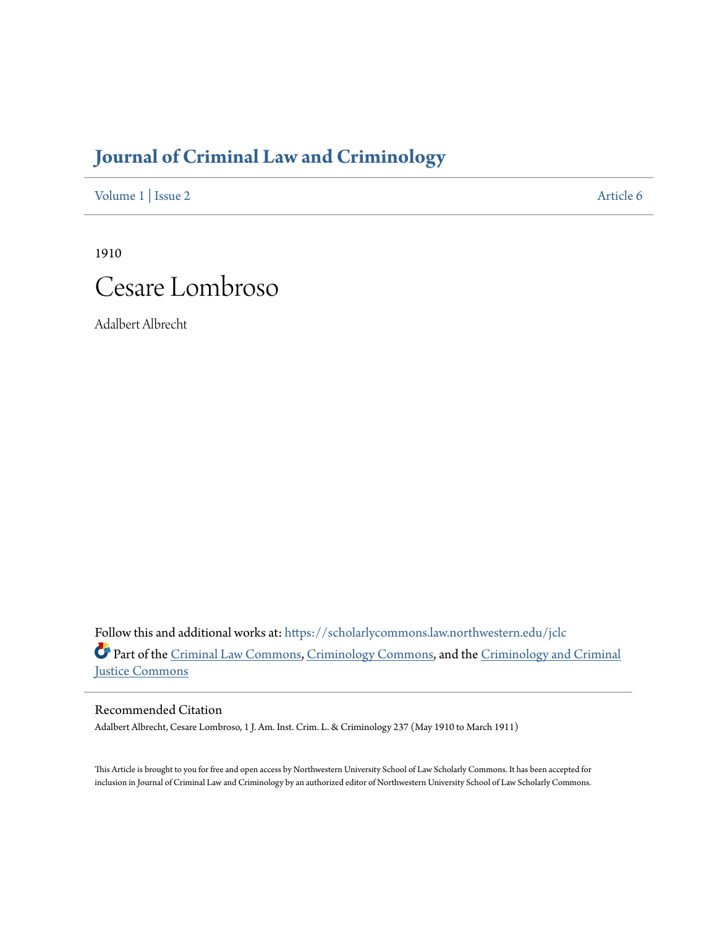# **[Journal of Criminal Law and Criminology](https://scholarlycommons.law.northwestern.edu/jclc?utm_source=scholarlycommons.law.northwestern.edu%2Fjclc%2Fvol1%2Fiss2%2F6&utm_medium=PDF&utm_campaign=PDFCoverPages)**

[Volume 1](https://scholarlycommons.law.northwestern.edu/jclc/vol1?utm_source=scholarlycommons.law.northwestern.edu%2Fjclc%2Fvol1%2Fiss2%2F6&utm_medium=PDF&utm_campaign=PDFCoverPages) | [Issue 2](https://scholarlycommons.law.northwestern.edu/jclc/vol1/iss2?utm_source=scholarlycommons.law.northwestern.edu%2Fjclc%2Fvol1%2Fiss2%2F6&utm_medium=PDF&utm_campaign=PDFCoverPages) [Article 6](https://scholarlycommons.law.northwestern.edu/jclc/vol1/iss2/6?utm_source=scholarlycommons.law.northwestern.edu%2Fjclc%2Fvol1%2Fiss2%2F6&utm_medium=PDF&utm_campaign=PDFCoverPages)

1910 Cesare Lombroso

Adalbert Albrecht

Follow this and additional works at: [https://scholarlycommons.law.northwestern.edu/jclc](https://scholarlycommons.law.northwestern.edu/jclc?utm_source=scholarlycommons.law.northwestern.edu%2Fjclc%2Fvol1%2Fiss2%2F6&utm_medium=PDF&utm_campaign=PDFCoverPages) Part of the [Criminal Law Commons](http://network.bepress.com/hgg/discipline/912?utm_source=scholarlycommons.law.northwestern.edu%2Fjclc%2Fvol1%2Fiss2%2F6&utm_medium=PDF&utm_campaign=PDFCoverPages), [Criminology Commons](http://network.bepress.com/hgg/discipline/417?utm_source=scholarlycommons.law.northwestern.edu%2Fjclc%2Fvol1%2Fiss2%2F6&utm_medium=PDF&utm_campaign=PDFCoverPages), and the [Criminology and Criminal](http://network.bepress.com/hgg/discipline/367?utm_source=scholarlycommons.law.northwestern.edu%2Fjclc%2Fvol1%2Fiss2%2F6&utm_medium=PDF&utm_campaign=PDFCoverPages) [Justice Commons](http://network.bepress.com/hgg/discipline/367?utm_source=scholarlycommons.law.northwestern.edu%2Fjclc%2Fvol1%2Fiss2%2F6&utm_medium=PDF&utm_campaign=PDFCoverPages)

Recommended Citation

Adalbert Albrecht, Cesare Lombroso, 1 J. Am. Inst. Crim. L. & Criminology 237 (May 1910 to March 1911)

This Article is brought to you for free and open access by Northwestern University School of Law Scholarly Commons. It has been accepted for inclusion in Journal of Criminal Law and Criminology by an authorized editor of Northwestern University School of Law Scholarly Commons.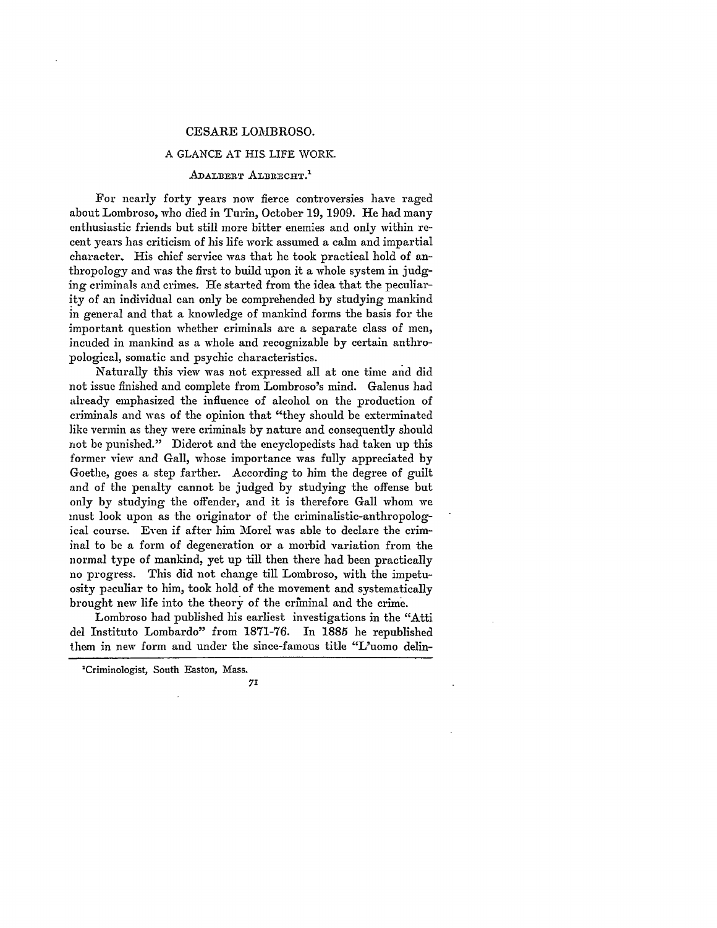#### A GLANCE AT HIS LIFE WORK.

## ADALBERT ALBRECHT.<sup>1</sup>

For nearly forty years now fierce controversies have raged about Lombroso, who died in Turin, October 19, 1909. He had many enthusiastic friends but still more bitter enemies and only within recent years has criticism of his life work assumed a calm and impartial character. His chief service was that he took practical hold of anthropology and was the first to build upon it a whole system in judging criminals and crimes. He started from the idea that the peculiarity of an individual can only be comprehended by studying mankind in general and that a knowledge of mankind forms the basis for the important question whether criminals are a separate class of men, incuded in mankind as a whole and recognizable by certain anthropological, somatic and psychic characteristics.

Naturally this view was not expressed all at one time and did not issue finished and complete from Lombroso's mind. Galenus had already emphasized the influence of alcohol on the production of criminals and was of the opinion that "they should be exterminated like vermin as they were criminals by nature and consequently should not be punished." Diderot and the encyclopedists had taken up this former view and Gall, whose importance was fully appreciated by Goethe, goes a step farther. According to him the degree of guilt and of the penalty cannot be judged by studying the offense but only by studying the offender, and it is therefore Gall whom we nust look upon as the originator of the criminalistic-anthropological course. Even if after him Morel was able to declare the criminal to be a form of degeneration or a morbid variation from the normal type of mankind, yet up till then there had been practically no progress. This did not change till Lombroso, with the impetuosity peculiar to him, took hold of the movement and systematically brought new life into the theory of the criminal and the crim'e.

Lombroso had published his earliest investigations in the "Atti del Instituto Lombardo" from 1871-76. In 1885 he republished them in new form and under the since-famous title "L'uomo delin-

<sup>&#</sup>x27;Criminologist, South Easton, Mass.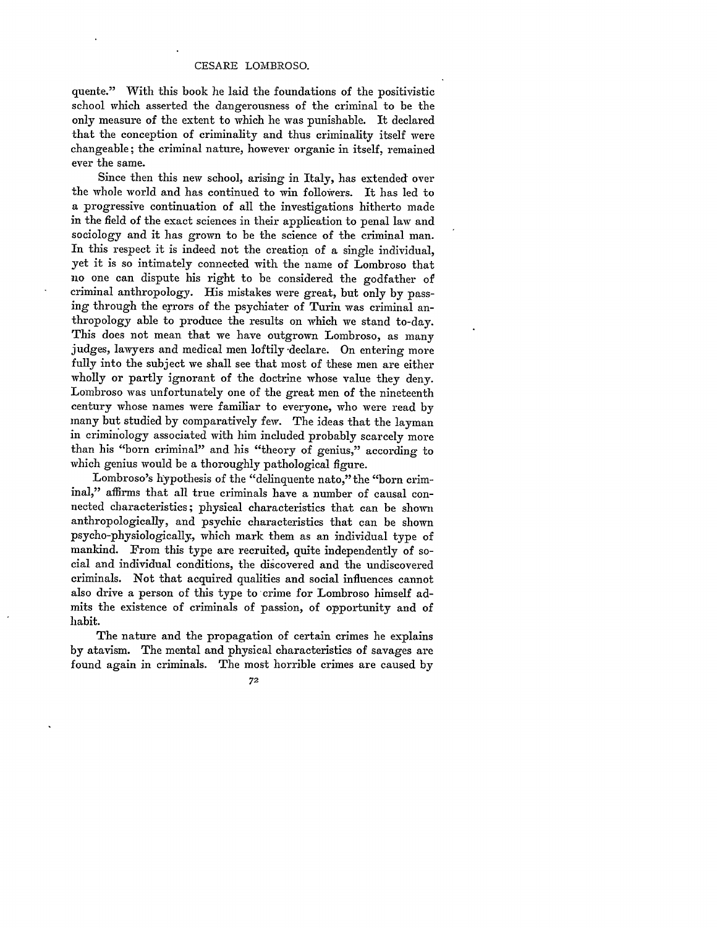quente." With this book he laid the foundations of the positivistic school which asserted the dangerousness of the criminal to be the only measure of the extent to which he was punishable. It declared that the conception of criminality and thus criminality itself were changeable; the criminal nature, however organic in itself, remained ever the same.

Since then this new school, arising in Italy, has extended over the whole world and has continued to win followers. It has led to a progressive continuation of all the investigations hitherto made in the field of the exact sciences in their application to penal law and sociology and it has grown to be the science of the criminal man. In this respect it is indeed not the creation of a single individual, yet it is so intimately connected with the name of Lombroso that no one can dispute his right to be considered the godfather of criminal anthropology. His mistakes were great, but only by passing through the errors of the psychiater of Turin was criminal anthropology able to produce the results on which we stand to-day. 'This does not mean that we have outgrown Lombroso, as many judges, lawyers and medical men loftily -declare. On entering more fully into the subject we shall see that most of these men are either wholly or partly ignorant of the doctrine whose value they deny. Lombroso was unfortunately one of the great men of the nineteenth century whose names were familiar to everyone, who were read by many but studied by comparatively few. The ideas that the layman in criminology associated with him included probably scarcely more than his "born criminal" and his "theory of genius," according to which genius would be a thoroughly pathological figure.

Lombroso's hypothesis of the "delinquente nato," the "born criminal," affirms that all true criminals have a number of causal connected characteristics; physical characteristics that can be shown anthropologically, and psychic characteristics that can be shown psycho-physiologically, which mark them as an individual type of mankind. From this type are recruited, quite independently of social and individual conditions, the discovered and the undiscovered criminals. Not that acquired qualities and social influences cannot also drive a person of this type to crime for Lombroso himself admits the existence of criminals of passion, of opportunity and of habit.

The nature and the propagation of certain crimes he explains by atavism. The mental and physical characteristics of savages are found again in criminals. The most horrible crimes are caused by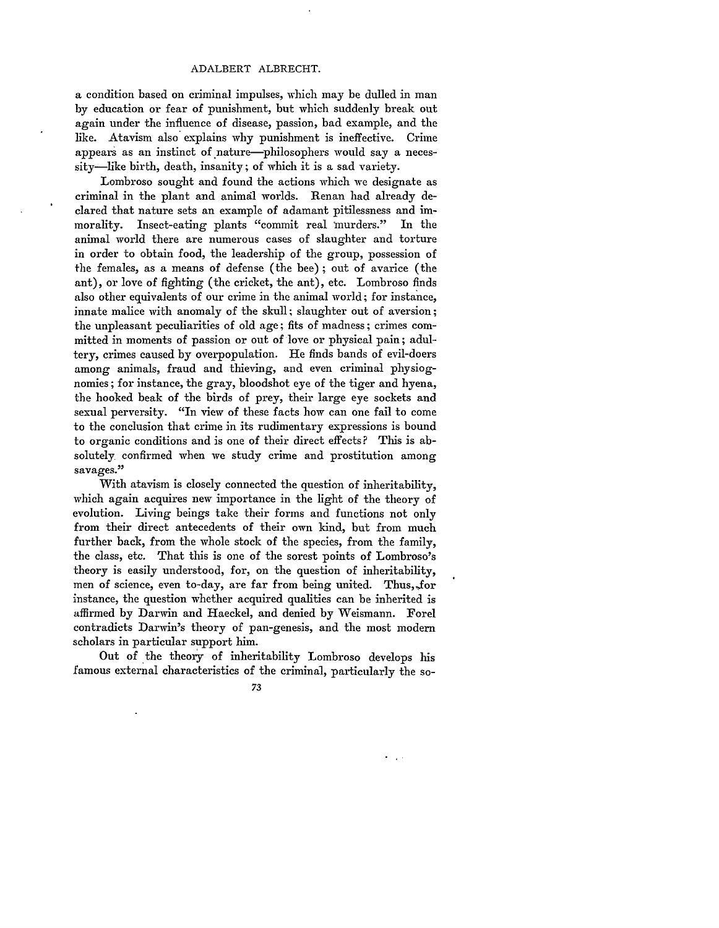a condition based on criminal impulses, which may be dulled in man by education or fear of punishment, but which suddenly break out again under the influence of disease, passion, bad example, and the like. Atavism also explains why punishment is ineffective. Crime appears as an instinct of nature-philosophers would say a necessity-like birth, death, insanity; of which it is a sad variety.

Lombroso sought and found the actions which we designate as criminal in the plant and animdl worlds. Renan had already declared that nature sets an example of adamant pitilessness and immorality. Insect-eating plants "commit real murders." In the animal world there are numerous cases of slaughter and torture in order to obtain food, the leadership of the group, possession of the females, as a means of defense (the bee) ; out of avarice (the ant), or love of fighting (the cricket, the ant), etc. Lombroso finds also other equivalents of our crime in the animal world; for instance, innate malice with anomaly of the skull; slaughter out of aversion; the unpleasant peculiarities of old age; fits of madness; crimes committed in moments of passion or out of love or physical pain; adultery, crimes caused by overpopulation. He finds bands of evil-doers among animals, fraud and thieving, and even criminal physiognomies; for instance, the gray, bloodshot eye of the tiger and hyena, the hooked beak of the birds of prey, their large eye sockets and sexual perversity. "In view of these facts how can one fail to come to the conclusion that crime in its rudimentary expressions is bound to organic conditions and is one of their direct effects? This is absolutely confirmed when we study crime and prostitution among savages."

With atavism is closely connected the question of inheritability, which again acquires new importance in the light of the theory of evolution. Living beings take their forms and functions not only from their direct antecedents of their own kind, but from much further back, from the whole stock of the species, from the family, the class, etc. That this is one of the sorest points of Lombroso's theory is easily understood, for, on the question of inheritability, men of science, even to-day, are far from being united. Thus, for instance, the question whether acquired qualities can be inherited is affirmed by Darwin and Haeckel, and denied by Weismann. Forel contradicts Darwin's theory of pan-genesis, and the most modern scholars in particular support him.

Out of the theory of inheritability Lombroso develops his famous external characteristics of the criminal, particularly the so-

*73*

 $\sim 100$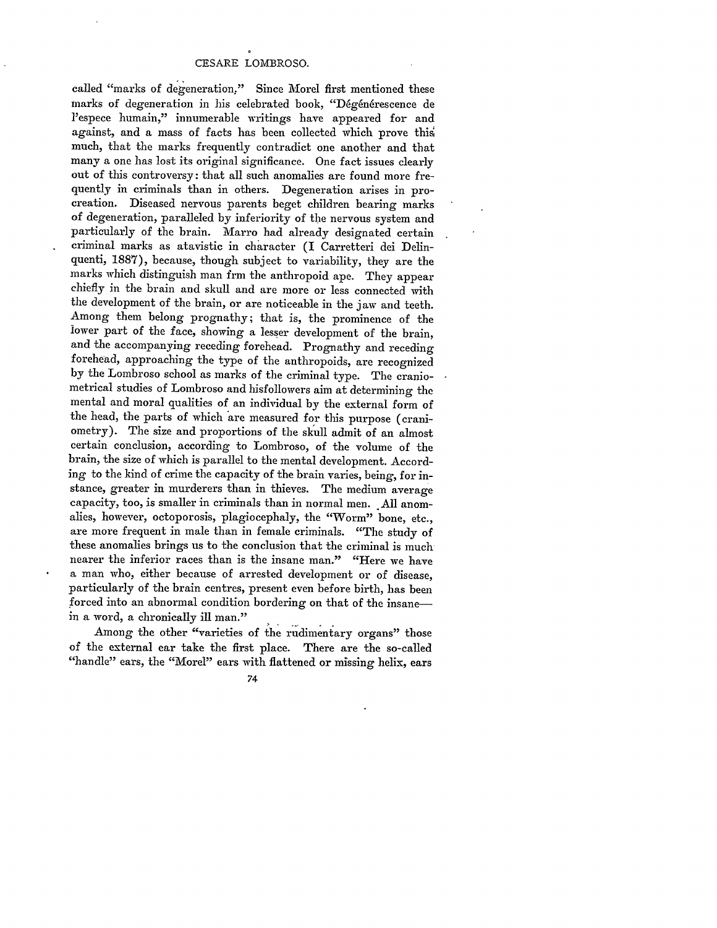called "marks of degeneration," Since Morel first mentioned these marks of degeneration in his celebrated book, "Dégénérescence de l'espece humain," innumerable writings have appeared for and against, and a mass of facts has been collected which prove this, much, that the marks frequently contradict one another and that many a one has lost its original significance. One fact issues clearly out of this controversy: that all such anomalies are found more frequently in criminals than in others. Degeneration arises in procreation. Diseased nervous parents beget children bearing marks of degeneration, paralleled by inferiority of the nervous system and particularly of the brain. Marro had already designated certain criminal marks as atavistic in character (I Carretteri dei Delinquenti, 1887), because, though subject to variability, they are the marks which distinguish man frm the anthropoid ape. They appear chiefly in the brain and skull and are more or less connected with the development of the brain, or are noticeable in the jaw and teeth. Among them belong prognathy; that is, the prominence of the lower part of the face, showing a lesser development of the brain, and the accompanying receding forehead. Prognathy and receding forehead, approaching the type of the anthropoids, are recognized by the Lombroso school as marks of the criminal type. The craniometrical studies of Lombroso and hisfollowers aim at determining the mental and moral qualities of an individual by the external form of the head, the parts of which 'are measured for this purpose (craniometry). The size and proportions of the skull admit of an almost certain conclusion, according to Lombroso, of the volume of the brain, the size of which is parallel to the mental development. According to the kind of crime the capacity of the brain varies, being, for instance, greater in murderers than in thieves. The medium average capacity, too, is smaller in criminals than in normal men. All anomalies, however, octoporosis, plagiocephaly, the "Worm" bone, etc., are more frequent in male than in female criminals. "The study of these anomalies brings us to the conclusion that the criminal is much nearer the inferior races than is the insane man." "Here we have a man who, either because of arrested development or of disease, particularly of the brain centres, present even before birth, has been forced into an abnormal condition bordering on that of the insanein a word, a chronically ill man."

Among the other "varieties of *ihe* rudimentary organs" those of the external ear take the first place. There are the so-called "handle" ears, the "Morel" ears with flattened or missing helix, ears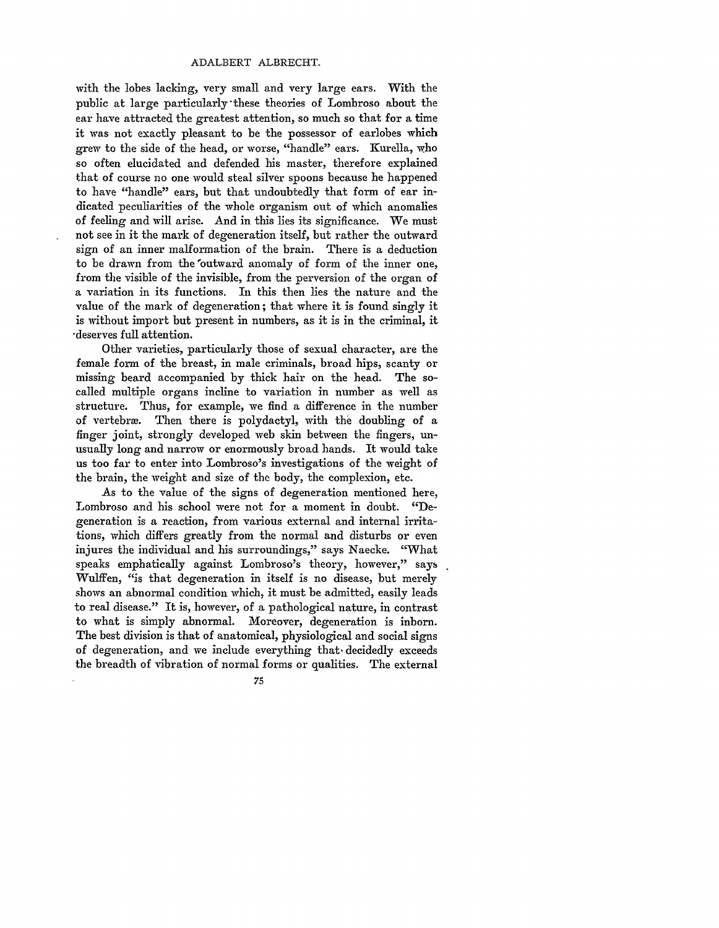with the lobes lacking, very small and very large ears. With the public at large particularly -these theories of Lombroso about the ear have attracted the greatest attention, so much so that for a time it was not exactly pleasant to be the possessor of earlobes which grew to the side of the head, or worse, "handle" ears. Kurella, who so often elucidated and defended his master, therefore explained that of course no one would steal silver spoons because he happened to have "handle" ears, but that undoubtedly that form of ear indicated peculiarities of the whole organism out of which anomalies of feeling and will arise. And in this lies its significance. We must not see in it the mark of degeneration itself, but rather the outward sign of an inner malformation of the brain. There is a deduction to be drawn from the 'outward anomaly of form of the inner one, from the visible of the invisible, from the perversion of the organ of a variation in its functions. In this then lies the nature and the value of the mark of degeneration; that where it is found singly it is without import but present in numbers, as it is in the criminal, it -deserves full attention.

Other varieties, particularly those of sexual character, are the female form of the breast, in male criminals, broad hips, scanty or missing beard accompanied by thick hair on the head. The socalled multiple organs incline to variation in number as well as structure. Thus, for example, we find a difference in the number of vertebre. Then there is polydactyl, with the doubling of a finger joint, strongly developed web skin between the fingers, unusually long and narrow or enormously broad hands. It would take us too far to enter into Lombroso's investigations of the weight of the brain, the weight and size of the body, the complexion, etc.

As to the value of the signs of degeneration mentioned here, Lombroso and his school were not for a moment in doubt. "Degeneration is a reaction, from various external and internal irritations, which differs greatly from the normal and disturbs or even injures the individual and his surroundings," says Naecke. "What speaks emphatically against Lombroso's theory, however," says Wulffen, "is that degeneration in itself is no disease, but merely shows an abnormal condition which, it must be admitted, easily leads to real disease." It is, however, of a pathological nature, in contrast to what is simply abnormal. Moreover, degeneration is inborn. The best division is that of anatomical, physiological and social signs of degeneration, and we include everything that decidedly exceeds the breadth of vibration of normal forms or qualities. The external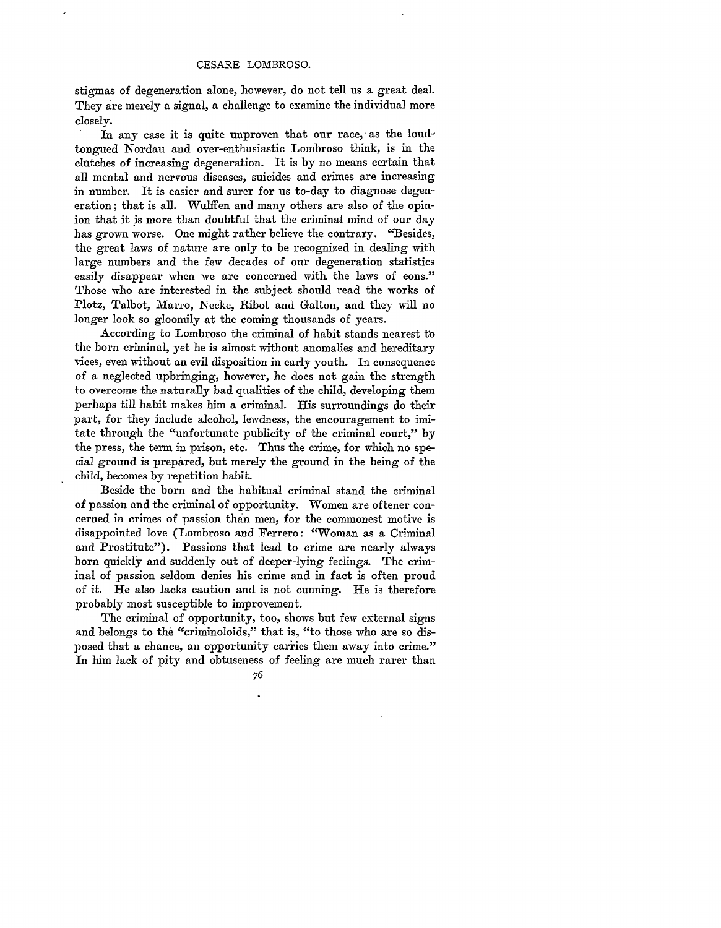stigmas of degeneration alone, however, do not tell us a great deal. They are merely a signal, a challenge to examine the individual more closely.

In any case it is quite unproven that our race, as the loudtongued Nordau and over-enthusiastic Lombroso think, is in the clutches of increasing degeneration. It is by no means certain that all mental and nervous diseases, suicides and crimes are increasing -in number. It is easier and surer for us to-day to diagnose degeneration; that is all. Wulffen and many others are also of the opinion that it is more than doubtful that the criminal mind of our day has grown worse. One might rather believe the contrary. "Besides, the great laws of nature are only to be recognized in dealing with large numbers and the few decades of our degeneration statistics easily disappear when we are concerned with the laws of eons." Those who are interested in the subject should read the works of Plotz, Talbot, Marro, Necke, Ribot and Galton, and they will no longer look so gloomily at the coming thousands of years.

According to Lombroso the criminal of habit stands nearest to the born criminal, yet he is almost without anomalies and hereditary vices, even without an evil disposition in early youth. In consequence of a neglected upbringing, however, he does not gain the strength to overcome the naturally bad qualities of the child, developing them perhaps till habit makes him a criminal. His surroundings do their part, for they include alcohol, lewdness, the encouragement to imitate through the "unfortunate publicity of the criminal court," by the press, the term in prison, etc. Thus the crime, for which no special ground is prepared, but merely the ground in the being of the child, becomes by repetition habit.

Beside the born and the habitual criminal stand the criminal of passion and the criminal of opportunity. Women are oftener concerned in crimes of passion than men, for the commonest motive is disappointed love (Lombroso and Ferrero: "Woman as a Criminal and Prostitute"). Passions that lead to crime are nearly always born quickly and suddenly out of deeper-lying feelings. The criminal of passion seldom denies his crime and in fact is often proud of it. He also lacks caution and is not cunning. He is therefore probably most susceptible to improvement.

The criminal of opportunity, too, shows but few external signs and belongs to the "criminoloids," that is, "to those who are so disposed that a chance, an opportunity carries them away into crime." In him lack of pity and obtuseness of feeling are much rarer than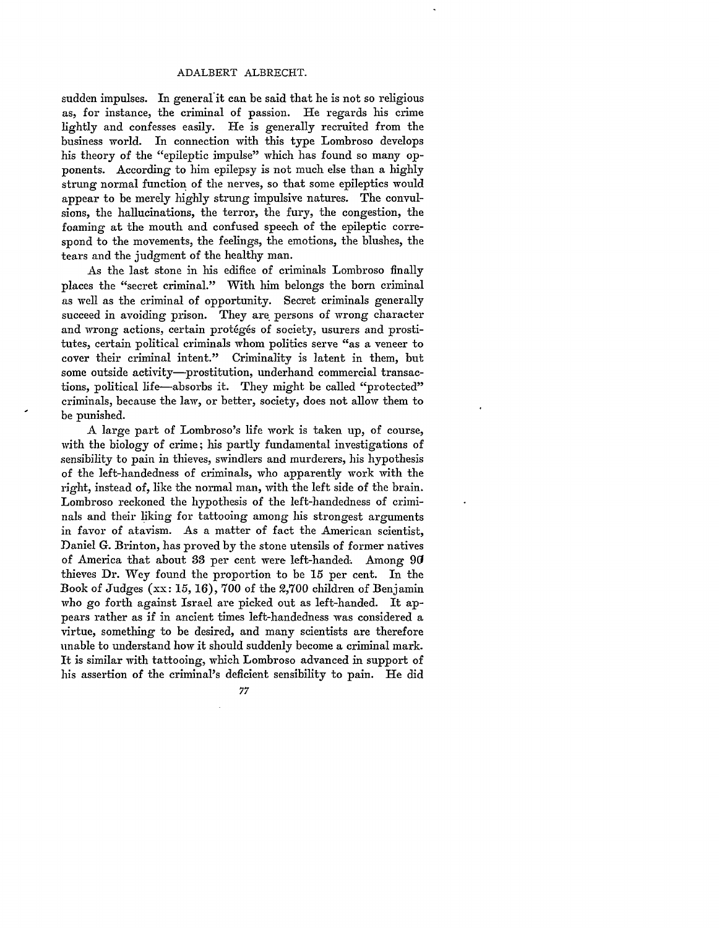sudden impulses. In general'it can be said that he is not so religious as, for instance, the criminal of passion. He regards his crime lightly and confesses easily. He is generally recruited from the business world. In connection with this type Lombroso develops his theory of the "epileptic impulse" which has found so many opponents. According to him epilepsy is not much else than a highly strung normal function of the nerves, so that some epileptics would appear to be merely highly strung impulsive natures. The convulsions, the hallucinations, the terror, the fury, the congestion, the foaming at the mouth and confused speech of the epileptic correspond to the movements, the feelings, the emotions, the blushes, the tears and the judgment of the healthy man.

As the last stone in his edifice of criminals Lombroso finally places the "secret criminal." With him belongs the born criminal as well as the criminal of opportunity. Secret criminals generally succeed in avoiding prison. They are persons of wrong character and wrong actions, certain protégés of society, usurers and prostitutes, certain political criminals whom politics serve "as a veneer to cover their criminal intent." Criminality is latent in them, but some outside activity-prostitution, underhand commercial transactions, political life-absorbs it. They might be called "protected" criminals, because the law, or better, society, does not allow them to be punished.

A large part of Lombroso's life work is taken up, of course, with the biology of crime; his partly fundamental investigations of sensibility to pain in thieves, swindlers and murderers, his hypothesis of the left-handedness of criminals, who apparently work with the right, instead of, like the normal man, with the left side of the brain. Lombroso reckoned the hypothesis of the left-handedness of criminals and their liking for tattooing among his strongest arguments in favor of atavism. As a matter of fact the American scientist, Daniel **G.** Brinton, has proved by the stone utensils of former natives of America that about **33** per cent were left-handed. Among **9U** thieves Dr. Wey found the proportion to be 15 per cent. In the Book of Judges (xx: *15,* 16), **700** of the **2,700** children of Benjamin who go forth against Israel are picked out as left-handed. It appears rather as if in ancient times left-handedness was considered a virtue, something to be desired, and many scientists are therefore unable to understand how it should suddenly become a criminal mark. It is similar with tattooing, which Lombroso advanced in support of his assertion of the criminal's deficient sensibility to pain. He did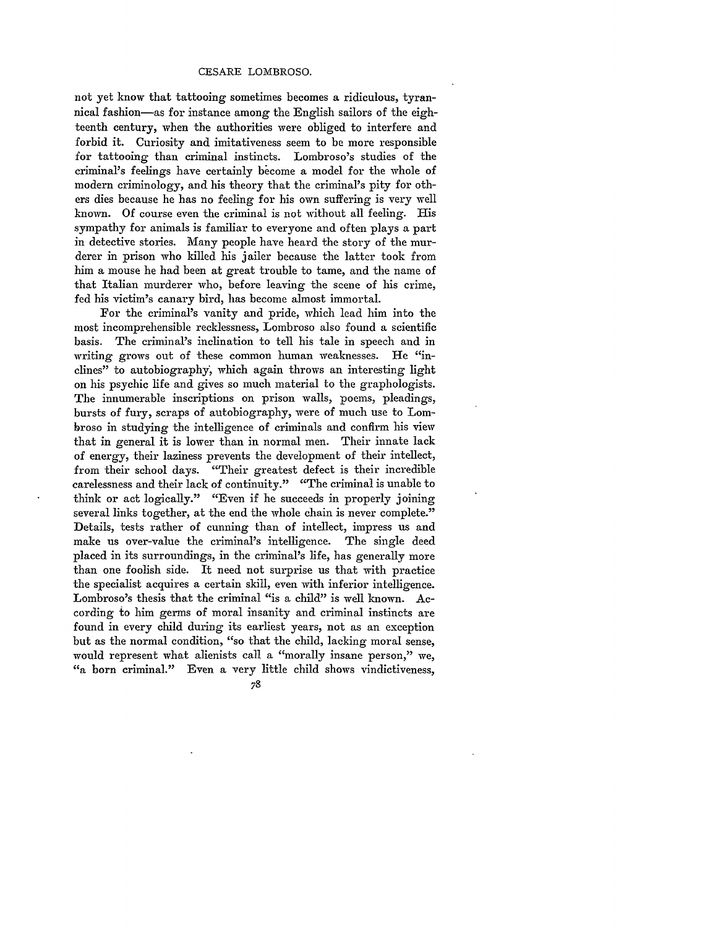not yet know that tattooing sometimes becomes a ridiculous, tyrannical fashion-as for instance among the English sailors of the eighteenth century, when the authorities were obliged to interfere and forbid it. Curiosity and imitativeness seem to be more responsible for tattooing than criminal instincts. Lombroso's studies of the criminal's feelings have certainly become a model for the whole of modern criminology, and his theory that the criminal's pity for others dies because he has no feeling for his own suffering is very well known. **Of** course even the criminal is not without all feeling. His sympathy for animals is familiar to everyone and often plays a part in detective stories. 'Many people have heard the story of the murderer in prison who killed his jailer because the latter took from him a mouse he had been at great trouble to tame, and the name of that Italian murderer who, before leaving the scene of his crime, fed his victim's canary bird, has become almost immortal.

For the criminal's vanity and pride, which lead him into the most incomprehensible recklessness, Lombroso also found a scientific basis. The criminal's inclination to tell his tale in speech and in writing grows out of these common human weaknesses. He "inclines" to autobiography, which again throws an interesting light on his psychic life and gives so much material to the graphologists. The innumerable inscriptions on prison walls, poems, pleadings, bursts of fury, scraps of autobiography, were of much use to Lombroso in studying the intelligence of criminals and confirm his view that in general it is lower than in normal men. Their innate lack of energy, their laziness prevents the development of their intellect, from their school days. "Their greatest defect is their incredible carelessness and their lack of continuity." "The criminal is unable to think or act logically." "Even if he succeeds in properly joining several links together, at the end the whole chain is never complete." Details, tests rather of cunning than of intellect, impress us and make us over-value the criminal's intelligence. The single deed placed in its surroundings, in the criminal's life, has generally more than one foolish side. It need not surprise us that with practice the specialist acquires a certain skill, even with inferior intelligence. Lombroso's thesis that the criminal "is a child" is well known. According to him germs of moral insanity and criminal instincts are found in every child during its earliest years, not as an exception but as the normal condition, "so that the child, lacking moral sense, would represent what alienists call a "morally insane person," we, "a born criminal." Even a very little child shows vindictiveness,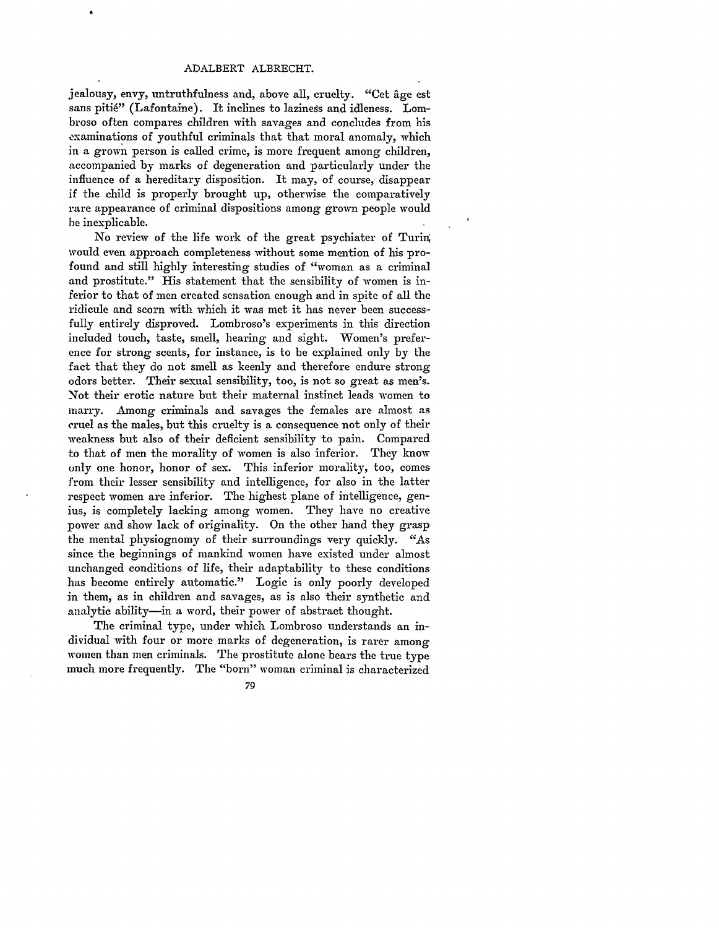jealousy, envy, untruthfulness and, above all, cruelty. "Cet âge est sans pitié" (Lafontaine). It inclines to laziness and idleness. Lombroso often compares children with savages and concludes from his examinations of youthful criminals that that moral anomaly, which in a grown person is called crime, is more frequent among children, accompanied by marks of degeneration and particularly under the influence of a hereditary disposition. It may, of course, disappear if the child is properly brought up, otherwise the comparatively rare appearance of criminal dispositions among grown people would he inexplicable.

No review of the life work of the great psychiater of Turin would even approach completeness without some mention of his profound and still highly interesting studies of "woman as a criminal and prostitute." His statement that the sensibility of women is inferior to that of men created sensation enough and in spite of all the ridicule and scorn with which it was met it has never been successfully entirely disproved. Lombroso's experiments in this direction included touch, taste, smell, hearing and sight. Women's preference for strong scents, for instance, is to be explained only **by** the fact that they do not smell as keenly and therefore endure strong odors better. Their sexual sensibility, too, is not so great as men's. Not their erotic nature but their maternal instinct leads women to marry. Among criminals and savages the females are almost as cruel as the males, but this cruelty is a consequence not only of their weakness but also of their deficient sensibility to pain. Compared to that of men the morality of women is also inferior. They know only one honor, honor of sex. This inferior morality, too, comes from their lesser sensibility and intelligence, for also in the latter respect women are inferior. The highest plane of intelligence, genius, is completely lacking among women. They have no creative power and show lack of originality. On the other hand they grasp the mental physiognomy of their surroundings very quickly. *"As* since the beginnings of mankind women have existed under almost unchanged conditions of life, their adaptability to these conditions has become entirely automatic." Logic is only poorly developed in them, as in children and savages, as is also their synthetic and analytic ability-in a word, their power of abstract thought.

The criminal type, under which Lombroso understands an individual with four or more marks of degeneration, is rarer among women than men criminals. The prostitute alone bears the true type much more frequently. The "born" woman criminal is characterized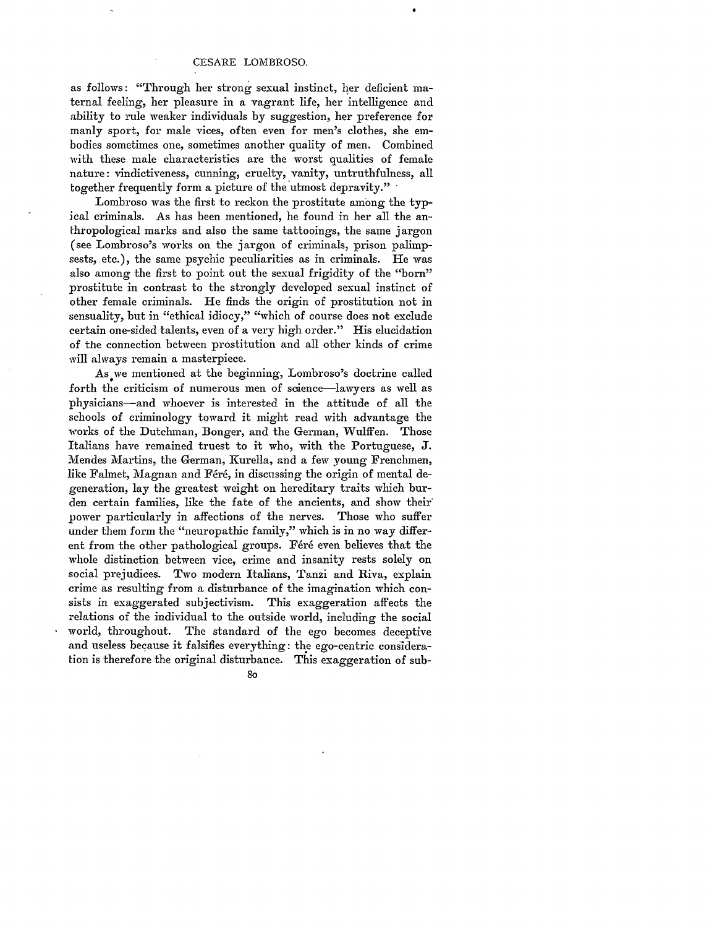as follows: "Through her strong sexual instinct, her deficient maternal feeling, her pleasure in a vagrant life, her intelligence and ability to rule weaker individuals by suggestion, her preference for manly sport, for male vices, often even for men's clothes, she embodies sometimes one, sometimes another quality of men. Combined with these male characteristics are the worst qualities of female nature: vindictiveness, cunning, cruelty, vanity, untruthfulness, all together frequently form a picture of the utmost depravity."

Lombroso was the first to reckon the prostitute among the typical criminals. As has been mentioned, he found in her all the anthropological marks and also the same tattooings, the same jargon (see Lombroso's works on the jargon of criminals, prison palimpsests, etc.), the same psychic peculiarities as in criminals. He was also among the first to point out the sexual frigidity of the *"born"* prostitute in contrast to the strongly developed sexual instinct of other female criminals. He finds the origin of prostitution not in sensuality, but in "ethical idiocy," "which of course does not exclude certain one-sided talents, even of a very high order." His elucidation of the connection between prostitution and all other kinds of crime will always remain a masterpiece.

As we mentioned at the beginning, Lombroso's doctrine called forth the criticism of numerous men of science-lawyers as well as physicians-and whoever is interested in the attitude of all the schools of criminology toward it might read with advantage the works of the Dutchman, Bonger, and the German, Wulffen. Those Italians have remained truest to it who, with the Portuguese, J. Mendes Martins, the German, Kurella, and a few young Frenchmen, like Falmet, Magnan and Féré, in discussing the origin of mental degeneration, lay the greatest weight on hereditary traits which burden certain families, like the fate of the ancients, and show their\* power particularly in affections of the nerves. Those who suffer under them form the "neuropathic family," which is in no way different from the other pathological groups. Féré even believes that the whole distinction between vice, crime and insanity rests solely on social prejudices. Two modern Italians, Tanzi and Riva, explain crime as resulting from a disturbance of the imagination which consists in exaggerated subjectivism. This exaggeration affects the relations of the individual to the outside world, including the social world, throughout. The standard of the ego becomes deceptive and useless because it falsifies everything: the ego-centric consideration is therefore the original disturbance. This exaggeration of sub-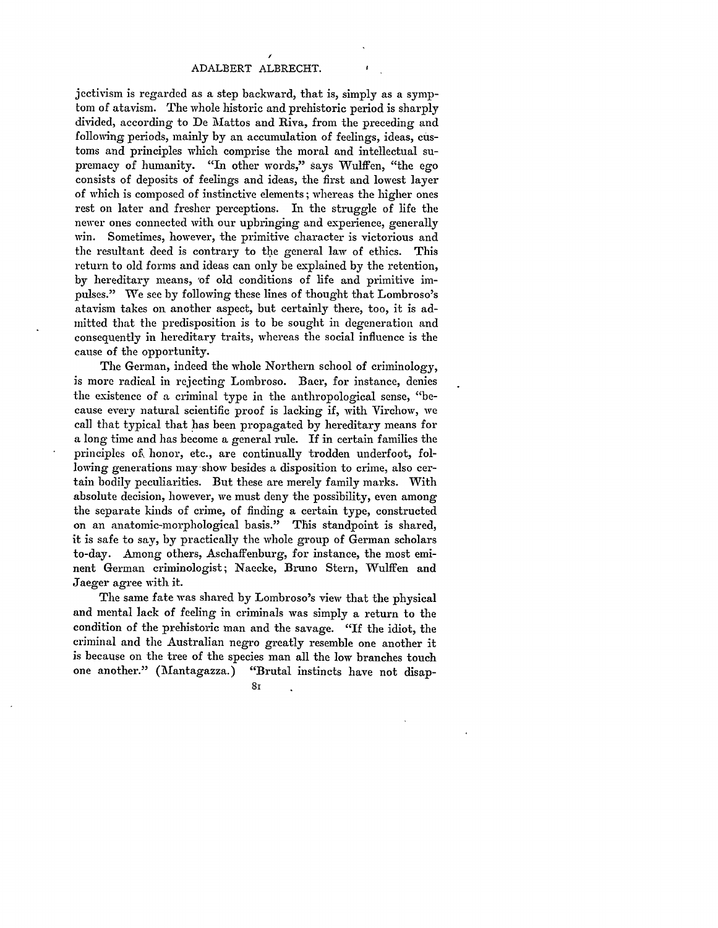jectivism is regarded as a step backward, that is, simply as a symptom of atavism. The whole historic and prehistoric period is sharply divided, according to De Mattos and Riva, from the preceding and following periods, mainly by an accumulation of feelings, ideas, customs and principles which comprise the moral and intellectual supremacy of humanity. "In other words," says Wulffen, "the ego consists of deposits of feelings and ideas, the first and lowest layer of which is composed of instinctive elements; whereas the higher ones rest on later and fresher perceptions. In the struggle of life the newer ones connected with our upbringing and experience, generally win. Sometimes, however, the primitive character is victorious and the resultant deed is contrary to the general law of ethics. This return to old forms and ideas can only be explained by the retention, by hereditary means, *'of* old conditions of life and primitive impulses." We see by following these lines of thought that Lombroso's atavism takes on another aspect, but certainly there, too, it is admitted that the predisposition is to be sought in degeneration and consequently in hereditary traits, whereas the social influence is the cause of the opportunity.

The German, indeed the whole Northern school of criminology, is more radical in rejecting Lombroso. Baer, for instance, denies the existence of a criminal type in the anthropological sense, "because every natural scientific proof is lacking if, with Virchow, we call that typical that has been propagated by hereditary means for a long time and has become a general rule. If in certain families the principles of, honor, etc., are continually trodden underfoot, following generations may show besides a disposition to crime, also certain bodily peculiarities. But these are merely family marks. With absolute decision, however, we must deny the possibility, even among the separate kinds of crime, of finding a certain type, constructed on an anatomic-morphological basis." This standpoint is shared, it is safe to say, by practically the whole group of German scholars to-day. Among others, Aschaffenburg, for instance, the most eminent German criminologist; Naecke, Bruno Stern, Wulffen and Jaeger agree with it.

The same fate was shared by Lombroso's view that the physical and mental lack of feeling in criminals was simply a return to the condition of the prehistoric man and the savage. "If the idiot, the criminal and the Australian negro greatly resemble one another it is because on the tree of the species man all the low branches touch one another." (Mantagazza.) "Brutal instincts have not disap-

**8r**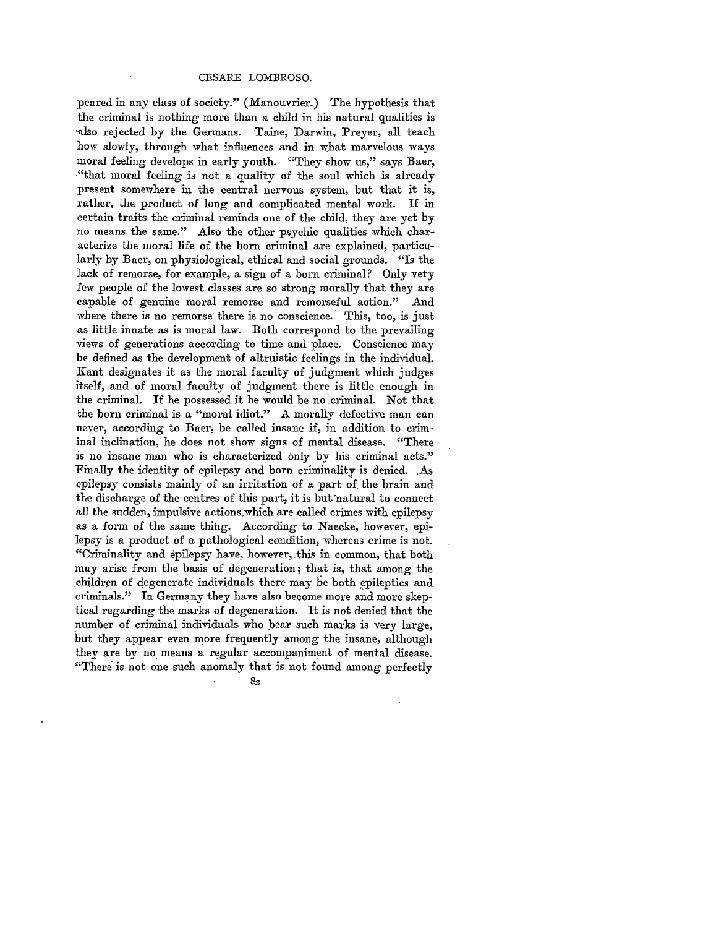peared in any class of society." (Manouvrier.) The hypothesis that the criminal is nothing more than a child in his natural qualities is also rejected by the Germans. Taine, Darwin, Preyer, all teach how slowly, through what influences and in what marvelous ways moral feeling develops in early youth. "They show us," says Baer, -"that moral feeling is not a quality of the soul which is already present somewhere in the central nervous system, but that it is, rather, the product of long and complicated mental work. If in certain traits the criminal reminds one of the child, they are yet by no means the same." Also the other psychic qualities which characterize the moral life of the born criminal are explained, particularly by Baer, on physiological, ethical and social grounds. "Is the lack of remorse, for example, a sign of a born criminal? Only vety few people of the lowest classes are so strong morally that they are capable of genuine moral remorse and remorseful action." And where there is no remorse there is no conscience.' This, too, is just as little innate as is moral law. Both correspond to the prevailing views of generations according to time and place. Conscience may be defined as the development of altruistic feelings in the individual. Kant designates it as the moral faculty of judgment which judges itself, and of moral faculty of judgment there is little enough in the criminal. If he possessed it he would be no criminal. Not that the born criminal is a "moral idiot." A morally defective man can never, according to Baer, be called insane if, in addition to criminal inclination, he does not show signs of mental disease. "There is no insane man who is characterized only by his criminal acts." Finally the identity of epilepsy and born criminality is denied. As epilepsy consists mainly of an irritation of a part of. the brain and the discharge of the centres of this part, it is but'natural to connect all the sudden, impulsive actions.which are called crimes with epilepsy as a form of the same thing. According to Naecke, however, epilepsy is a product of a pathological condition, whereas crime is not. "Criminality and 6pilepsy have, however, this in common, that both may arise from the basis of degeneration; that is, that among the children of degenerate individuals there may be both epileptics and criminals." In Germany they have also become more and more skeptical regarding the marks of degeneration. It is not denied that the number of criminal individuals who bear such marks is very large, but they appear even more frequently among the insane, although they are by no means a regular accompaniment of mental disease. "There is not one such anomaly that is not found among perfectly

 $8<sub>2</sub>$